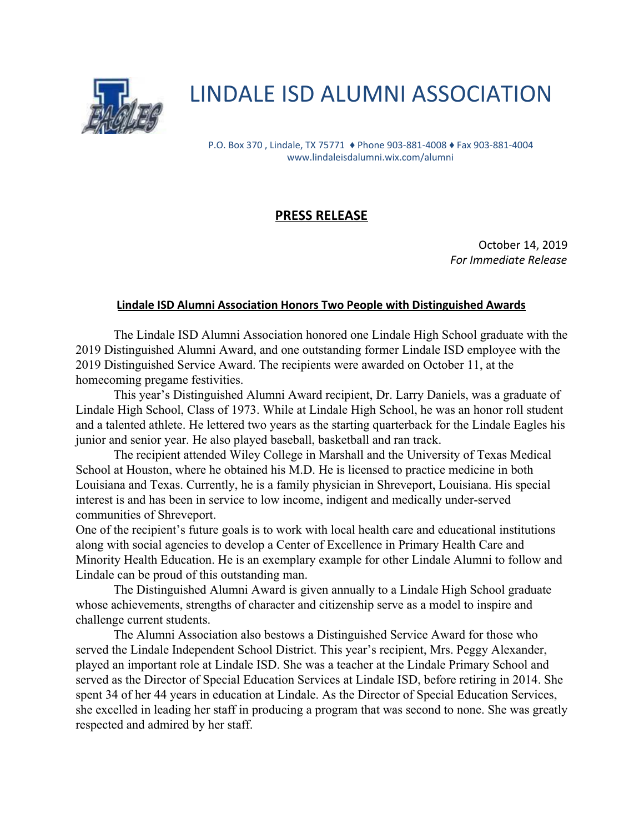

## LINDALE ISD ALUMNI ASSOCIATION

P.O. Box 370 , Lindale, TX 75771 ♦ Phone 903-881-4008 ♦ Fax 903-881-4004 www.lindaleisdalumni.wix.com/alumni

## **PRESS RELEASE**

October 14, 2019 *For Immediate Release*

## **Lindale ISD Alumni Association Honors Two People with Distinguished Awards**

The Lindale ISD Alumni Association honored one Lindale High School graduate with the 2019 Distinguished Alumni Award, and one outstanding former Lindale ISD employee with the 2019 Distinguished Service Award. The recipients were awarded on October 11, at the homecoming pregame festivities.

This year's Distinguished Alumni Award recipient, Dr. Larry Daniels, was a graduate of Lindale High School, Class of 1973. While at Lindale High School, he was an honor roll student and a talented athlete. He lettered two years as the starting quarterback for the Lindale Eagles his junior and senior year. He also played baseball, basketball and ran track.

The recipient attended Wiley College in Marshall and the University of Texas Medical School at Houston, where he obtained his M.D. He is licensed to practice medicine in both Louisiana and Texas. Currently, he is a family physician in Shreveport, Louisiana. His special interest is and has been in service to low income, indigent and medically under-served communities of Shreveport.

One of the recipient's future goals is to work with local health care and educational institutions along with social agencies to develop a Center of Excellence in Primary Health Care and Minority Health Education. He is an exemplary example for other Lindale Alumni to follow and Lindale can be proud of this outstanding man.

The Distinguished Alumni Award is given annually to a Lindale High School graduate whose achievements, strengths of character and citizenship serve as a model to inspire and challenge current students.

The Alumni Association also bestows a Distinguished Service Award for those who served the Lindale Independent School District. This year's recipient, Mrs. Peggy Alexander, played an important role at Lindale ISD. She was a teacher at the Lindale Primary School and served as the Director of Special Education Services at Lindale ISD, before retiring in 2014. She spent 34 of her 44 years in education at Lindale. As the Director of Special Education Services, she excelled in leading her staff in producing a program that was second to none. She was greatly respected and admired by her staff.